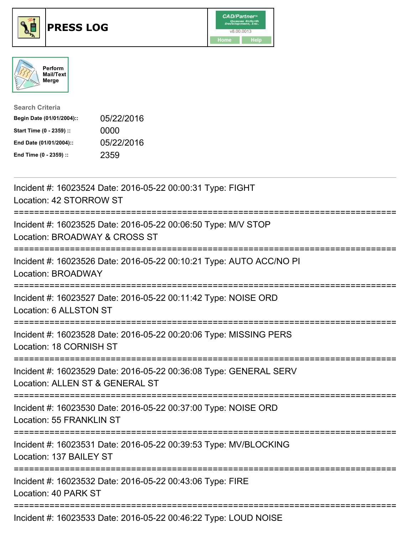





| <b>Search Criteria</b>    |            |
|---------------------------|------------|
| Begin Date (01/01/2004):: | 05/22/2016 |
| Start Time (0 - 2359) ::  | 0000       |
| End Date (01/01/2004)::   | 05/22/2016 |
| End Time (0 - 2359) ::    | 2359       |

| Incident #: 16023524 Date: 2016-05-22 00:00:31 Type: FIGHT<br>Location: 42 STORROW ST                |
|------------------------------------------------------------------------------------------------------|
| Incident #: 16023525 Date: 2016-05-22 00:06:50 Type: M/V STOP<br>Location: BROADWAY & CROSS ST       |
| Incident #: 16023526 Date: 2016-05-22 00:10:21 Type: AUTO ACC/NO PI<br><b>Location: BROADWAY</b>     |
| Incident #: 16023527 Date: 2016-05-22 00:11:42 Type: NOISE ORD<br>Location: 6 ALLSTON ST             |
| Incident #: 16023528 Date: 2016-05-22 00:20:06 Type: MISSING PERS<br>Location: 18 CORNISH ST         |
| Incident #: 16023529 Date: 2016-05-22 00:36:08 Type: GENERAL SERV<br>Location: ALLEN ST & GENERAL ST |
| Incident #: 16023530 Date: 2016-05-22 00:37:00 Type: NOISE ORD<br><b>Location: 55 FRANKLIN ST</b>    |
| Incident #: 16023531 Date: 2016-05-22 00:39:53 Type: MV/BLOCKING<br>Location: 137 BAILEY ST          |
| Incident #: 16023532 Date: 2016-05-22 00:43:06 Type: FIRE<br>Location: 40 PARK ST                    |
| $\frac{1}{2}$                                                                                        |

Incident #: 16023533 Date: 2016-05-22 00:46:22 Type: LOUD NOISE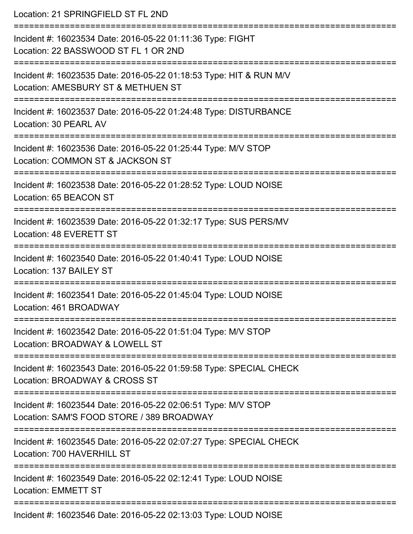| Location: 21 SPRINGFIELD ST FL 2ND                                                                                        |
|---------------------------------------------------------------------------------------------------------------------------|
| Incident #: 16023534 Date: 2016-05-22 01:11:36 Type: FIGHT<br>Location: 22 BASSWOOD ST FL 1 OR 2ND<br>=================== |
| Incident #: 16023535 Date: 2016-05-22 01:18:53 Type: HIT & RUN M/V<br>Location: AMESBURY ST & METHUEN ST                  |
| Incident #: 16023537 Date: 2016-05-22 01:24:48 Type: DISTURBANCE<br>Location: 30 PEARL AV                                 |
| Incident #: 16023536 Date: 2016-05-22 01:25:44 Type: M/V STOP<br>Location: COMMON ST & JACKSON ST                         |
| :======================<br>Incident #: 16023538 Date: 2016-05-22 01:28:52 Type: LOUD NOISE<br>Location: 65 BEACON ST      |
| Incident #: 16023539 Date: 2016-05-22 01:32:17 Type: SUS PERS/MV<br>Location: 48 EVERETT ST                               |
| Incident #: 16023540 Date: 2016-05-22 01:40:41 Type: LOUD NOISE<br>Location: 137 BAILEY ST                                |
| Incident #: 16023541 Date: 2016-05-22 01:45:04 Type: LOUD NOISE<br>Location: 461 BROADWAY                                 |
| Incident #: 16023542 Date: 2016-05-22 01:51:04 Type: M/V STOP<br>Location: BROADWAY & LOWELL ST                           |
| Incident #: 16023543 Date: 2016-05-22 01:59:58 Type: SPECIAL CHECK<br>Location: BROADWAY & CROSS ST                       |
| Incident #: 16023544 Date: 2016-05-22 02:06:51 Type: M/V STOP<br>Location: SAM'S FOOD STORE / 389 BROADWAY                |
| Incident #: 16023545 Date: 2016-05-22 02:07:27 Type: SPECIAL CHECK<br>Location: 700 HAVERHILL ST                          |
| Incident #: 16023549 Date: 2016-05-22 02:12:41 Type: LOUD NOISE<br><b>Location: EMMETT ST</b>                             |
| Incident #: 16023546 Date: 2016-05-22 02:13:03 Type: LOUD NOISE                                                           |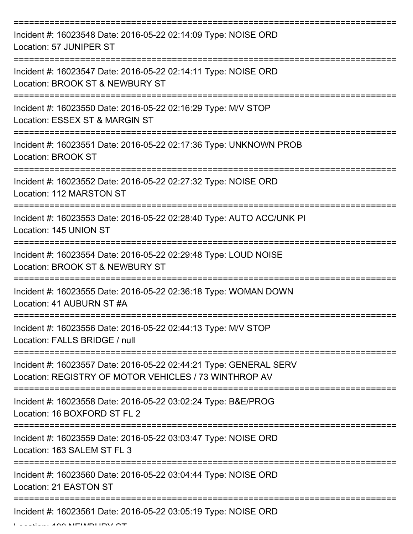| Incident #: 16023548 Date: 2016-05-22 02:14:09 Type: NOISE ORD<br>Location: 57 JUNIPER ST                                  |
|----------------------------------------------------------------------------------------------------------------------------|
| Incident #: 16023547 Date: 2016-05-22 02:14:11 Type: NOISE ORD<br>Location: BROOK ST & NEWBURY ST                          |
| Incident #: 16023550 Date: 2016-05-22 02:16:29 Type: M/V STOP<br>Location: ESSEX ST & MARGIN ST                            |
| Incident #: 16023551 Date: 2016-05-22 02:17:36 Type: UNKNOWN PROB<br><b>Location: BROOK ST</b>                             |
| Incident #: 16023552 Date: 2016-05-22 02:27:32 Type: NOISE ORD<br>Location: 112 MARSTON ST                                 |
| Incident #: 16023553 Date: 2016-05-22 02:28:40 Type: AUTO ACC/UNK PI<br>Location: 145 UNION ST                             |
| Incident #: 16023554 Date: 2016-05-22 02:29:48 Type: LOUD NOISE<br>Location: BROOK ST & NEWBURY ST                         |
| Incident #: 16023555 Date: 2016-05-22 02:36:18 Type: WOMAN DOWN<br>Location: 41 AUBURN ST #A                               |
| Incident #: 16023556 Date: 2016-05-22 02:44:13 Type: M/V STOP<br>Location: FALLS BRIDGE / null                             |
| Incident #: 16023557 Date: 2016-05-22 02:44:21 Type: GENERAL SERV<br>Location: REGISTRY OF MOTOR VEHICLES / 73 WINTHROP AV |
| Incident #: 16023558 Date: 2016-05-22 03:02:24 Type: B&E/PROG<br>Location: 16 BOXFORD ST FL 2                              |
| Incident #: 16023559 Date: 2016-05-22 03:03:47 Type: NOISE ORD<br>Location: 163 SALEM ST FL 3                              |
| Incident #: 16023560 Date: 2016-05-22 03:04:44 Type: NOISE ORD<br>Location: 21 EASTON ST                                   |
| Incident #: 16023561 Date: 2016-05-22 03:05:19 Type: NOISE ORD                                                             |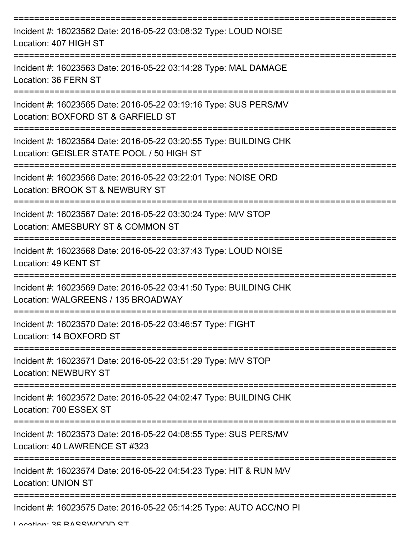| Incident #: 16023562 Date: 2016-05-22 03:08:32 Type: LOUD NOISE<br>Location: 407 HIGH ST                       |
|----------------------------------------------------------------------------------------------------------------|
| Incident #: 16023563 Date: 2016-05-22 03:14:28 Type: MAL DAMAGE<br>Location: 36 FERN ST                        |
| Incident #: 16023565 Date: 2016-05-22 03:19:16 Type: SUS PERS/MV<br>Location: BOXFORD ST & GARFIELD ST         |
| Incident #: 16023564 Date: 2016-05-22 03:20:55 Type: BUILDING CHK<br>Location: GEISLER STATE POOL / 50 HIGH ST |
| Incident #: 16023566 Date: 2016-05-22 03:22:01 Type: NOISE ORD<br>Location: BROOK ST & NEWBURY ST              |
| Incident #: 16023567 Date: 2016-05-22 03:30:24 Type: M/V STOP<br>Location: AMESBURY ST & COMMON ST             |
| Incident #: 16023568 Date: 2016-05-22 03:37:43 Type: LOUD NOISE<br>Location: 49 KENT ST                        |
| Incident #: 16023569 Date: 2016-05-22 03:41:50 Type: BUILDING CHK<br>Location: WALGREENS / 135 BROADWAY        |
| Incident #: 16023570 Date: 2016-05-22 03:46:57 Type: FIGHT<br>Location: 14 BOXFORD ST                          |
| Incident #: 16023571 Date: 2016-05-22 03:51:29 Type: M/V STOP<br><b>Location: NEWBURY ST</b>                   |
| Incident #: 16023572 Date: 2016-05-22 04:02:47 Type: BUILDING CHK<br>Location: 700 ESSEX ST                    |
| Incident #: 16023573 Date: 2016-05-22 04:08:55 Type: SUS PERS/MV<br>Location: 40 LAWRENCE ST #323              |
| Incident #: 16023574 Date: 2016-05-22 04:54:23 Type: HIT & RUN M/V<br><b>Location: UNION ST</b>                |
| Incident #: 16023575 Date: 2016-05-22 05:14:25 Type: AUTO ACC/NO PI                                            |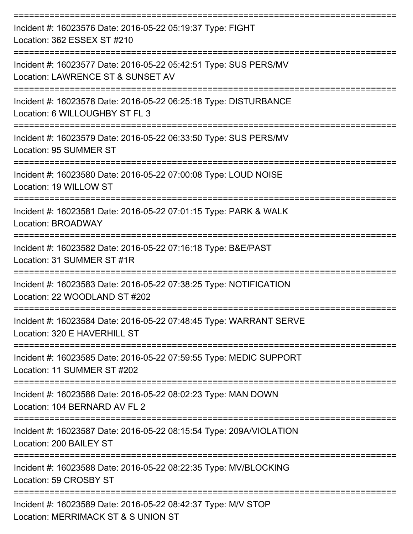| Incident #: 16023576 Date: 2016-05-22 05:19:37 Type: FIGHT<br>Location: 362 ESSEX ST #210             |
|-------------------------------------------------------------------------------------------------------|
| Incident #: 16023577 Date: 2016-05-22 05:42:51 Type: SUS PERS/MV<br>Location: LAWRENCE ST & SUNSET AV |
| Incident #: 16023578 Date: 2016-05-22 06:25:18 Type: DISTURBANCE<br>Location: 6 WILLOUGHBY ST FL 3    |
| Incident #: 16023579 Date: 2016-05-22 06:33:50 Type: SUS PERS/MV<br>Location: 95 SUMMER ST            |
| Incident #: 16023580 Date: 2016-05-22 07:00:08 Type: LOUD NOISE<br>Location: 19 WILLOW ST             |
| Incident #: 16023581 Date: 2016-05-22 07:01:15 Type: PARK & WALK<br>Location: BROADWAY                |
| Incident #: 16023582 Date: 2016-05-22 07:16:18 Type: B&E/PAST<br>Location: 31 SUMMER ST #1R           |
| Incident #: 16023583 Date: 2016-05-22 07:38:25 Type: NOTIFICATION<br>Location: 22 WOODLAND ST #202    |
| Incident #: 16023584 Date: 2016-05-22 07:48:45 Type: WARRANT SERVE<br>Location: 320 E HAVERHILL ST    |
| Incident #: 16023585 Date: 2016-05-22 07:59:55 Type: MEDIC SUPPORT<br>Location: 11 SUMMER ST #202     |
| Incident #: 16023586 Date: 2016-05-22 08:02:23 Type: MAN DOWN<br>Location: 104 BERNARD AV FL 2        |
| Incident #: 16023587 Date: 2016-05-22 08:15:54 Type: 209A/VIOLATION<br>Location: 200 BAILEY ST        |
| Incident #: 16023588 Date: 2016-05-22 08:22:35 Type: MV/BLOCKING<br>Location: 59 CROSBY ST            |
| Incident #: 16023589 Date: 2016-05-22 08:42:37 Type: M/V STOP<br>Location: MERRIMACK ST & S UNION ST  |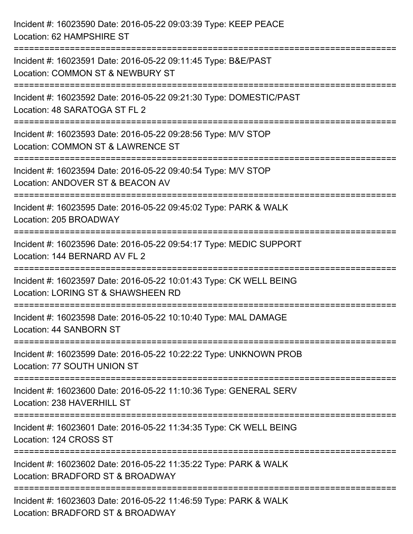| Incident #: 16023590 Date: 2016-05-22 09:03:39 Type: KEEP PEACE<br>Location: 62 HAMPSHIRE ST                            |
|-------------------------------------------------------------------------------------------------------------------------|
| Incident #: 16023591 Date: 2016-05-22 09:11:45 Type: B&E/PAST<br>Location: COMMON ST & NEWBURY ST                       |
| Incident #: 16023592 Date: 2016-05-22 09:21:30 Type: DOMESTIC/PAST<br>Location: 48 SARATOGA ST FL 2                     |
| Incident #: 16023593 Date: 2016-05-22 09:28:56 Type: M/V STOP<br>Location: COMMON ST & LAWRENCE ST                      |
| Incident #: 16023594 Date: 2016-05-22 09:40:54 Type: M/V STOP<br>Location: ANDOVER ST & BEACON AV                       |
| Incident #: 16023595 Date: 2016-05-22 09:45:02 Type: PARK & WALK<br>Location: 205 BROADWAY                              |
| ================<br>Incident #: 16023596 Date: 2016-05-22 09:54:17 Type: MEDIC SUPPORT<br>Location: 144 BERNARD AV FL 2 |
| Incident #: 16023597 Date: 2016-05-22 10:01:43 Type: CK WELL BEING<br>Location: LORING ST & SHAWSHEEN RD                |
| Incident #: 16023598 Date: 2016-05-22 10:10:40 Type: MAL DAMAGE<br>Location: 44 SANBORN ST                              |
| Incident #: 16023599 Date: 2016-05-22 10:22:22 Type: UNKNOWN PROB<br>Location: 77 SOUTH UNION ST                        |
| Incident #: 16023600 Date: 2016-05-22 11:10:36 Type: GENERAL SERV<br>Location: 238 HAVERHILL ST                         |
| Incident #: 16023601 Date: 2016-05-22 11:34:35 Type: CK WELL BEING<br>Location: 124 CROSS ST                            |
| Incident #: 16023602 Date: 2016-05-22 11:35:22 Type: PARK & WALK<br>Location: BRADFORD ST & BROADWAY                    |
| Incident #: 16023603 Date: 2016-05-22 11:46:59 Type: PARK & WALK<br>Location: BRADFORD ST & BROADWAY                    |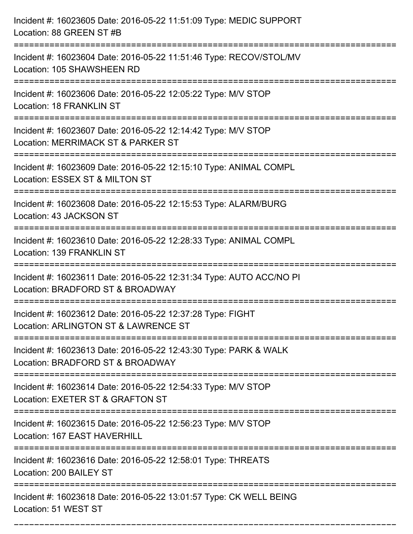| Incident #: 16023605 Date: 2016-05-22 11:51:09 Type: MEDIC SUPPORT<br>Location: 88 GREEN ST #B                                          |
|-----------------------------------------------------------------------------------------------------------------------------------------|
| Incident #: 16023604 Date: 2016-05-22 11:51:46 Type: RECOV/STOL/MV<br>Location: 105 SHAWSHEEN RD                                        |
| Incident #: 16023606 Date: 2016-05-22 12:05:22 Type: M/V STOP<br>Location: 18 FRANKLIN ST                                               |
| Incident #: 16023607 Date: 2016-05-22 12:14:42 Type: M/V STOP<br>Location: MERRIMACK ST & PARKER ST                                     |
| Incident #: 16023609 Date: 2016-05-22 12:15:10 Type: ANIMAL COMPL<br>Location: ESSEX ST & MILTON ST                                     |
| Incident #: 16023608 Date: 2016-05-22 12:15:53 Type: ALARM/BURG<br>Location: 43 JACKSON ST                                              |
| Incident #: 16023610 Date: 2016-05-22 12:28:33 Type: ANIMAL COMPL<br>Location: 139 FRANKLIN ST                                          |
| Incident #: 16023611 Date: 2016-05-22 12:31:34 Type: AUTO ACC/NO PI<br>Location: BRADFORD ST & BROADWAY                                 |
| Incident #: 16023612 Date: 2016-05-22 12:37:28 Type: FIGHT<br>Location: ARLINGTON ST & LAWRENCE ST                                      |
| Incident #: 16023613 Date: 2016-05-22 12:43:30 Type: PARK & WALK<br>Location: BRADFORD ST & BROADWAY                                    |
| ==================================<br>Incident #: 16023614 Date: 2016-05-22 12:54:33 Type: M/V STOP<br>Location: EXETER ST & GRAFTON ST |
| Incident #: 16023615 Date: 2016-05-22 12:56:23 Type: M/V STOP<br>Location: 167 EAST HAVERHILL                                           |
| Incident #: 16023616 Date: 2016-05-22 12:58:01 Type: THREATS<br>Location: 200 BAILEY ST                                                 |
| Incident #: 16023618 Date: 2016-05-22 13:01:57 Type: CK WELL BEING<br>Location: 51 WEST ST                                              |

===========================================================================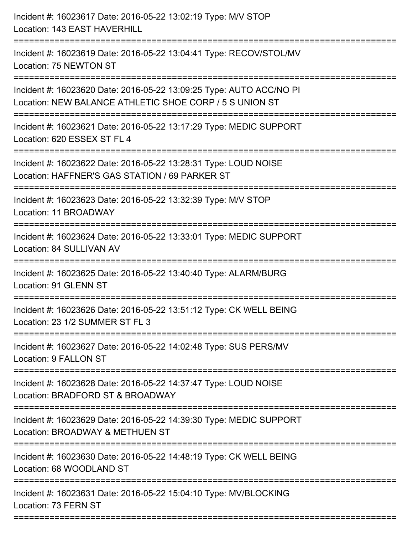| Incident #: 16023617 Date: 2016-05-22 13:02:19 Type: M/V STOP<br>Location: 143 EAST HAVERHILL                                                            |
|----------------------------------------------------------------------------------------------------------------------------------------------------------|
| Incident #: 16023619 Date: 2016-05-22 13:04:41 Type: RECOV/STOL/MV<br>Location: 75 NEWTON ST                                                             |
| Incident #: 16023620 Date: 2016-05-22 13:09:25 Type: AUTO ACC/NO PI<br>Location: NEW BALANCE ATHLETIC SHOE CORP / 5 S UNION ST<br>---------------------- |
| Incident #: 16023621 Date: 2016-05-22 13:17:29 Type: MEDIC SUPPORT<br>Location: 620 ESSEX ST FL 4                                                        |
| Incident #: 16023622 Date: 2016-05-22 13:28:31 Type: LOUD NOISE<br>Location: HAFFNER'S GAS STATION / 69 PARKER ST<br>-------------------                 |
| Incident #: 16023623 Date: 2016-05-22 13:32:39 Type: M/V STOP<br>Location: 11 BROADWAY                                                                   |
| Incident #: 16023624 Date: 2016-05-22 13:33:01 Type: MEDIC SUPPORT<br>Location: 84 SULLIVAN AV                                                           |
| Incident #: 16023625 Date: 2016-05-22 13:40:40 Type: ALARM/BURG<br>Location: 91 GLENN ST                                                                 |
| Incident #: 16023626 Date: 2016-05-22 13:51:12 Type: CK WELL BEING<br>Location: 23 1/2 SUMMER ST FL 3                                                    |
| Incident #: 16023627 Date: 2016-05-22 14:02:48 Type: SUS PERS/MV<br>Location: 9 FALLON ST                                                                |
| Incident #: 16023628 Date: 2016-05-22 14:37:47 Type: LOUD NOISE<br>Location: BRADFORD ST & BROADWAY                                                      |
| Incident #: 16023629 Date: 2016-05-22 14:39:30 Type: MEDIC SUPPORT<br>Location: BROADWAY & METHUEN ST                                                    |
| Incident #: 16023630 Date: 2016-05-22 14:48:19 Type: CK WELL BEING<br>Location: 68 WOODLAND ST                                                           |
| Incident #: 16023631 Date: 2016-05-22 15:04:10 Type: MV/BLOCKING<br>Location: 73 FERN ST                                                                 |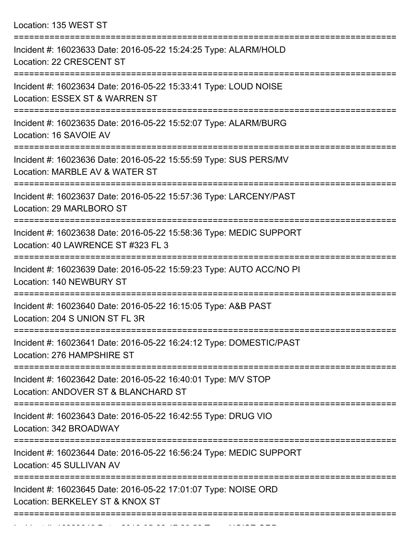Location: 135 WEST ST

| Incident #: 16023633 Date: 2016-05-22 15:24:25 Type: ALARM/HOLD<br>Location: 22 CRESCENT ST                    |
|----------------------------------------------------------------------------------------------------------------|
| Incident #: 16023634 Date: 2016-05-22 15:33:41 Type: LOUD NOISE<br>Location: ESSEX ST & WARREN ST              |
| Incident #: 16023635 Date: 2016-05-22 15:52:07 Type: ALARM/BURG<br>Location: 16 SAVOIE AV                      |
| Incident #: 16023636 Date: 2016-05-22 15:55:59 Type: SUS PERS/MV<br>Location: MARBLE AV & WATER ST             |
| Incident #: 16023637 Date: 2016-05-22 15:57:36 Type: LARCENY/PAST<br>Location: 29 MARLBORO ST                  |
| Incident #: 16023638 Date: 2016-05-22 15:58:36 Type: MEDIC SUPPORT<br>Location: 40 LAWRENCE ST #323 FL 3       |
| Incident #: 16023639 Date: 2016-05-22 15:59:23 Type: AUTO ACC/NO PI<br>Location: 140 NEWBURY ST                |
| ===========<br>Incident #: 16023640 Date: 2016-05-22 16:15:05 Type: A&B PAST<br>Location: 204 S UNION ST FL 3R |
| Incident #: 16023641 Date: 2016-05-22 16:24:12 Type: DOMESTIC/PAST<br>Location: 276 HAMPSHIRE ST               |
| Incident #: 16023642 Date: 2016-05-22 16:40:01 Type: M/V STOP<br>Location: ANDOVER ST & BLANCHARD ST           |
| Incident #: 16023643 Date: 2016-05-22 16:42:55 Type: DRUG VIO<br>Location: 342 BROADWAY                        |
| Incident #: 16023644 Date: 2016-05-22 16:56:24 Type: MEDIC SUPPORT<br>Location: 45 SULLIVAN AV                 |
| Incident #: 16023645 Date: 2016-05-22 17:01:07 Type: NOISE ORD<br>Location: BERKELEY ST & KNOX ST              |
|                                                                                                                |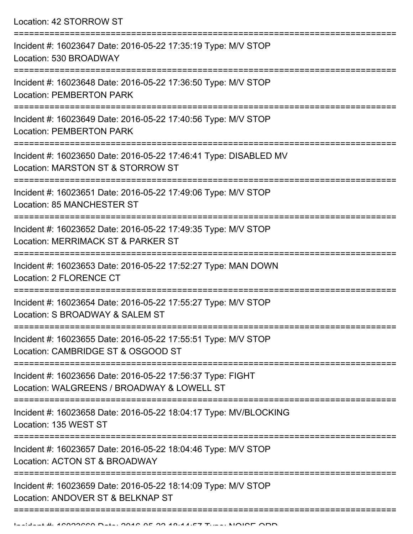Location: 42 STORROW ST

| Incident #: 16023647 Date: 2016-05-22 17:35:19 Type: M/V STOP<br>Location: 530 BROADWAY                  |
|----------------------------------------------------------------------------------------------------------|
| Incident #: 16023648 Date: 2016-05-22 17:36:50 Type: M/V STOP<br><b>Location: PEMBERTON PARK</b>         |
| Incident #: 16023649 Date: 2016-05-22 17:40:56 Type: M/V STOP<br><b>Location: PEMBERTON PARK</b>         |
| Incident #: 16023650 Date: 2016-05-22 17:46:41 Type: DISABLED MV<br>Location: MARSTON ST & STORROW ST    |
| Incident #: 16023651 Date: 2016-05-22 17:49:06 Type: M/V STOP<br>Location: 85 MANCHESTER ST              |
| Incident #: 16023652 Date: 2016-05-22 17:49:35 Type: M/V STOP<br>Location: MERRIMACK ST & PARKER ST      |
| Incident #: 16023653 Date: 2016-05-22 17:52:27 Type: MAN DOWN<br>Location: 2 FLORENCE CT                 |
| Incident #: 16023654 Date: 2016-05-22 17:55:27 Type: M/V STOP<br>Location: S BROADWAY & SALEM ST         |
| Incident #: 16023655 Date: 2016-05-22 17:55:51 Type: M/V STOP<br>Location: CAMBRIDGE ST & OSGOOD ST      |
| Incident #: 16023656 Date: 2016-05-22 17:56:37 Type: FIGHT<br>Location: WALGREENS / BROADWAY & LOWELL ST |
| Incident #: 16023658 Date: 2016-05-22 18:04:17 Type: MV/BLOCKING<br>Location: 135 WEST ST                |
| Incident #: 16023657 Date: 2016-05-22 18:04:46 Type: M/V STOP<br>Location: ACTON ST & BROADWAY           |
| Incident #: 16023659 Date: 2016-05-22 18:14:09 Type: M/V STOP<br>Location: ANDOVER ST & BELKNAP ST       |
|                                                                                                          |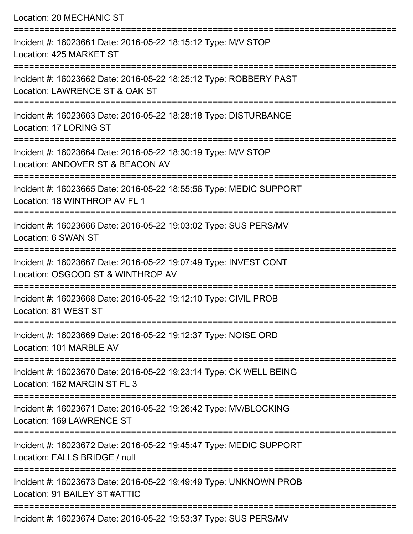| Location: 20 MECHANIC ST                                                                                                        |
|---------------------------------------------------------------------------------------------------------------------------------|
| Incident #: 16023661 Date: 2016-05-22 18:15:12 Type: M/V STOP<br>Location: 425 MARKET ST                                        |
| Incident #: 16023662 Date: 2016-05-22 18:25:12 Type: ROBBERY PAST<br>Location: LAWRENCE ST & OAK ST<br>======================== |
| Incident #: 16023663 Date: 2016-05-22 18:28:18 Type: DISTURBANCE<br>Location: 17 LORING ST                                      |
| Incident #: 16023664 Date: 2016-05-22 18:30:19 Type: M/V STOP<br>Location: ANDOVER ST & BEACON AV                               |
| Incident #: 16023665 Date: 2016-05-22 18:55:56 Type: MEDIC SUPPORT<br>Location: 18 WINTHROP AV FL 1                             |
| Incident #: 16023666 Date: 2016-05-22 19:03:02 Type: SUS PERS/MV<br>Location: 6 SWAN ST                                         |
| Incident #: 16023667 Date: 2016-05-22 19:07:49 Type: INVEST CONT<br>Location: OSGOOD ST & WINTHROP AV                           |
| Incident #: 16023668 Date: 2016-05-22 19:12:10 Type: CIVIL PROB<br>Location: 81 WEST ST                                         |
| Incident #: 16023669 Date: 2016-05-22 19:12:37 Type: NOISE ORD<br>Location: 101 MARBLE AV                                       |
| Incident #: 16023670 Date: 2016-05-22 19:23:14 Type: CK WELL BEING<br>Location: 162 MARGIN ST FL 3                              |
| Incident #: 16023671 Date: 2016-05-22 19:26:42 Type: MV/BLOCKING<br>Location: 169 LAWRENCE ST                                   |
| Incident #: 16023672 Date: 2016-05-22 19:45:47 Type: MEDIC SUPPORT<br>Location: FALLS BRIDGE / null                             |
| Incident #: 16023673 Date: 2016-05-22 19:49:49 Type: UNKNOWN PROB<br>Location: 91 BAILEY ST #ATTIC                              |
|                                                                                                                                 |

Incident #: 16023674 Date: 2016-05-22 19:53:37 Type: SUS PERS/MV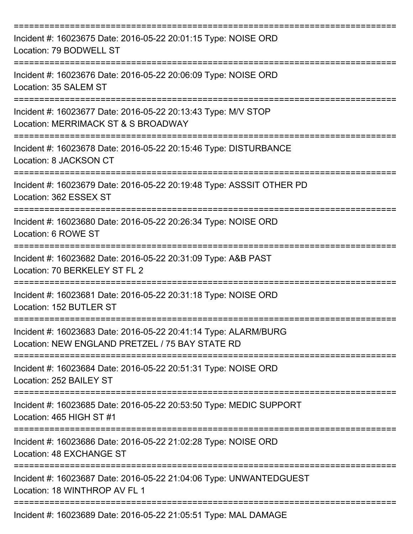| Incident #: 16023675 Date: 2016-05-22 20:01:15 Type: NOISE ORD<br>Location: 79 BODWELL ST                          |
|--------------------------------------------------------------------------------------------------------------------|
| Incident #: 16023676 Date: 2016-05-22 20:06:09 Type: NOISE ORD<br>Location: 35 SALEM ST                            |
| Incident #: 16023677 Date: 2016-05-22 20:13:43 Type: M/V STOP<br>Location: MERRIMACK ST & S BROADWAY               |
| Incident #: 16023678 Date: 2016-05-22 20:15:46 Type: DISTURBANCE<br>Location: 8 JACKSON CT                         |
| Incident #: 16023679 Date: 2016-05-22 20:19:48 Type: ASSSIT OTHER PD<br>Location: 362 ESSEX ST                     |
| Incident #: 16023680 Date: 2016-05-22 20:26:34 Type: NOISE ORD<br>Location: 6 ROWE ST                              |
| Incident #: 16023682 Date: 2016-05-22 20:31:09 Type: A&B PAST<br>Location: 70 BERKELEY ST FL 2                     |
| Incident #: 16023681 Date: 2016-05-22 20:31:18 Type: NOISE ORD<br>Location: 152 BUTLER ST                          |
| Incident #: 16023683 Date: 2016-05-22 20:41:14 Type: ALARM/BURG<br>Location: NEW ENGLAND PRETZEL / 75 BAY STATE RD |
| Incident #: 16023684 Date: 2016-05-22 20:51:31 Type: NOISE ORD<br>Location: 252 BAILEY ST                          |
| Incident #: 16023685 Date: 2016-05-22 20:53:50 Type: MEDIC SUPPORT<br>Location: 465 HIGH ST #1                     |
| Incident #: 16023686 Date: 2016-05-22 21:02:28 Type: NOISE ORD<br>Location: 48 EXCHANGE ST                         |
| Incident #: 16023687 Date: 2016-05-22 21:04:06 Type: UNWANTEDGUEST<br>Location: 18 WINTHROP AV FL 1                |
| Incident #: 16023689 Date: 2016-05-22 21:05:51 Type: MAL DAMAGE                                                    |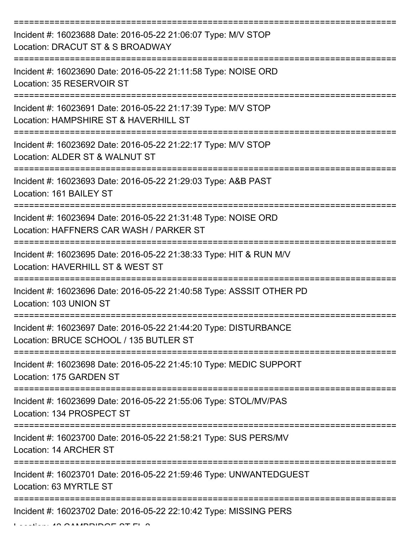| Incident #: 16023688 Date: 2016-05-22 21:06:07 Type: M/V STOP<br>Location: DRACUT ST & S BROADWAY          |
|------------------------------------------------------------------------------------------------------------|
| Incident #: 16023690 Date: 2016-05-22 21:11:58 Type: NOISE ORD<br>Location: 35 RESERVOIR ST                |
| Incident #: 16023691 Date: 2016-05-22 21:17:39 Type: M/V STOP<br>Location: HAMPSHIRE ST & HAVERHILL ST     |
| Incident #: 16023692 Date: 2016-05-22 21:22:17 Type: M/V STOP<br>Location: ALDER ST & WALNUT ST            |
| Incident #: 16023693 Date: 2016-05-22 21:29:03 Type: A&B PAST<br>Location: 161 BAILEY ST                   |
| Incident #: 16023694 Date: 2016-05-22 21:31:48 Type: NOISE ORD<br>Location: HAFFNERS CAR WASH / PARKER ST  |
| Incident #: 16023695 Date: 2016-05-22 21:38:33 Type: HIT & RUN M/V<br>Location: HAVERHILL ST & WEST ST     |
| Incident #: 16023696 Date: 2016-05-22 21:40:58 Type: ASSSIT OTHER PD<br>Location: 103 UNION ST             |
| Incident #: 16023697 Date: 2016-05-22 21:44:20 Type: DISTURBANCE<br>Location: BRUCE SCHOOL / 135 BUTLER ST |
| Incident #: 16023698 Date: 2016-05-22 21:45:10 Type: MEDIC SUPPORT<br>Location: 175 GARDEN ST              |
| Incident #: 16023699 Date: 2016-05-22 21:55:06 Type: STOL/MV/PAS<br>Location: 134 PROSPECT ST              |
| Incident #: 16023700 Date: 2016-05-22 21:58:21 Type: SUS PERS/MV<br>Location: 14 ARCHER ST                 |
| Incident #: 16023701 Date: 2016-05-22 21:59:46 Type: UNWANTEDGUEST<br>Location: 63 MYRTLE ST               |
| Incident #: 16023702 Date: 2016-05-22 22:10:42 Type: MISSING PERS                                          |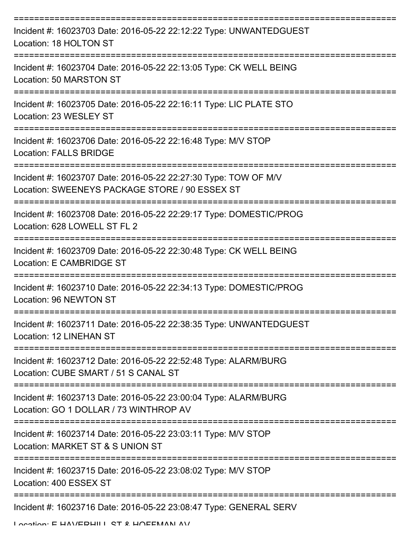| Incident #: 16023703 Date: 2016-05-22 22:12:22 Type: UNWANTEDGUEST<br>Location: 18 HOLTON ST                      |
|-------------------------------------------------------------------------------------------------------------------|
| Incident #: 16023704 Date: 2016-05-22 22:13:05 Type: CK WELL BEING<br>Location: 50 MARSTON ST                     |
| Incident #: 16023705 Date: 2016-05-22 22:16:11 Type: LIC PLATE STO<br>Location: 23 WESLEY ST                      |
| Incident #: 16023706 Date: 2016-05-22 22:16:48 Type: M/V STOP<br>Location: FALLS BRIDGE                           |
| Incident #: 16023707 Date: 2016-05-22 22:27:30 Type: TOW OF M/V<br>Location: SWEENEYS PACKAGE STORE / 90 ESSEX ST |
| Incident #: 16023708 Date: 2016-05-22 22:29:17 Type: DOMESTIC/PROG<br>Location: 628 LOWELL ST FL 2                |
| Incident #: 16023709 Date: 2016-05-22 22:30:48 Type: CK WELL BEING<br>Location: E CAMBRIDGE ST                    |
| Incident #: 16023710 Date: 2016-05-22 22:34:13 Type: DOMESTIC/PROG<br>Location: 96 NEWTON ST                      |
| Incident #: 16023711 Date: 2016-05-22 22:38:35 Type: UNWANTEDGUEST<br>Location: 12 LINEHAN ST                     |
| Incident #: 16023712 Date: 2016-05-22 22:52:48 Type: ALARM/BURG<br>Location: CUBE SMART / 51 S CANAL ST           |
| Incident #: 16023713 Date: 2016-05-22 23:00:04 Type: ALARM/BURG<br>Location: GO 1 DOLLAR / 73 WINTHROP AV         |
| Incident #: 16023714 Date: 2016-05-22 23:03:11 Type: M/V STOP<br>Location: MARKET ST & S UNION ST                 |
| Incident #: 16023715 Date: 2016-05-22 23:08:02 Type: M/V STOP<br>Location: 400 ESSEX ST                           |
| Incident #: 16023716 Date: 2016-05-22 23:08:47 Type: GENERAL SERV                                                 |